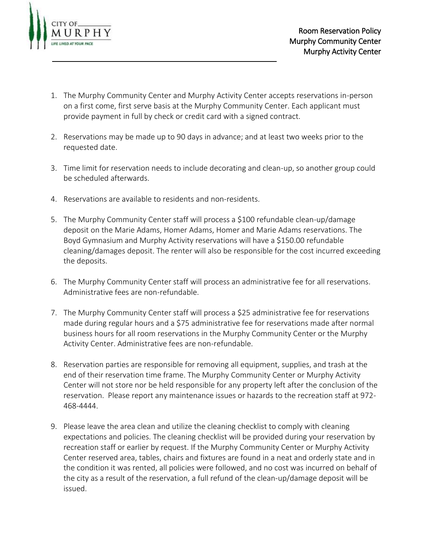

- 1. The Murphy Community Center and Murphy Activity Center accepts reservations in-person on a first come, first serve basis at the Murphy Community Center. Each applicant must provide payment in full by check or credit card with a signed contract.
- 2. Reservations may be made up to 90 days in advance; and at least two weeks prior to the requested date.
- 3. Time limit for reservation needs to include decorating and clean-up, so another group could be scheduled afterwards.
- 4. Reservations are available to residents and non-residents.
- 5. The Murphy Community Center staff will process a \$100 refundable clean-up/damage deposit on the Marie Adams, Homer Adams, Homer and Marie Adams reservations. The Boyd Gymnasium and Murphy Activity reservations will have a \$150.00 refundable cleaning/damages deposit. The renter will also be responsible for the cost incurred exceeding the deposits.
- 6. The Murphy Community Center staff will process an administrative fee for all reservations. Administrative fees are non-refundable.
- 7. The Murphy Community Center staff will process a \$25 administrative fee for reservations made during regular hours and a \$75 administrative fee for reservations made after normal business hours for all room reservations in the Murphy Community Center or the Murphy Activity Center. Administrative fees are non-refundable.
- 8. Reservation parties are responsible for removing all equipment, supplies, and trash at the end of their reservation time frame. The Murphy Community Center or Murphy Activity Center will not store nor be held responsible for any property left after the conclusion of the reservation. Please report any maintenance issues or hazards to the recreation staff at 972- 468-4444.
- 9. Please leave the area clean and utilize the cleaning checklist to comply with cleaning expectations and policies. The cleaning checklist will be provided during your reservation by recreation staff or earlier by request. If the Murphy Community Center or Murphy Activity Center reserved area, tables, chairs and fixtures are found in a neat and orderly state and in the condition it was rented, all policies were followed, and no cost was incurred on behalf of the city as a result of the reservation, a full refund of the clean-up/damage deposit will be issued.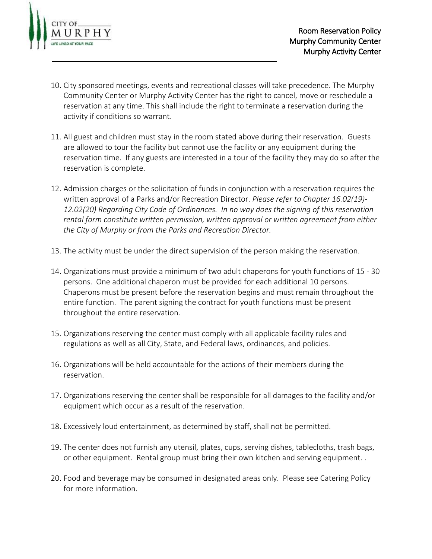

- 10. City sponsored meetings, events and recreational classes will take precedence. The Murphy Community Center or Murphy Activity Center has the right to cancel, move or reschedule a reservation at any time. This shall include the right to terminate a reservation during the activity if conditions so warrant.
- 11. All guest and children must stay in the room stated above during their reservation. Guests are allowed to tour the facility but cannot use the facility or any equipment during the reservation time. If any guests are interested in a tour of the facility they may do so after the reservation is complete.
- 12. Admission charges or the solicitation of funds in conjunction with a reservation requires the written approval of a Parks and/or Recreation Director. *Please refer to Chapter 16.02(19)- 12.02(20) Regarding City Code of Ordinances. In no way does the signing of this reservation rental form constitute written permission, written approval or written agreement from either the City of Murphy or from the Parks and Recreation Director.*
- 13. The activity must be under the direct supervision of the person making the reservation.
- 14. Organizations must provide a minimum of two adult chaperons for youth functions of 15 30 persons. One additional chaperon must be provided for each additional 10 persons. Chaperons must be present before the reservation begins and must remain throughout the entire function. The parent signing the contract for youth functions must be present throughout the entire reservation.
- 15. Organizations reserving the center must comply with all applicable facility rules and regulations as well as all City, State, and Federal laws, ordinances, and policies.
- 16. Organizations will be held accountable for the actions of their members during the reservation.
- 17. Organizations reserving the center shall be responsible for all damages to the facility and/or equipment which occur as a result of the reservation.
- 18. Excessively loud entertainment, as determined by staff, shall not be permitted.
- 19. The center does not furnish any utensil, plates, cups, serving dishes, tablecloths, trash bags, or other equipment. Rental group must bring their own kitchen and serving equipment. .
- 20. Food and beverage may be consumed in designated areas only. Please see Catering Policy for more information.